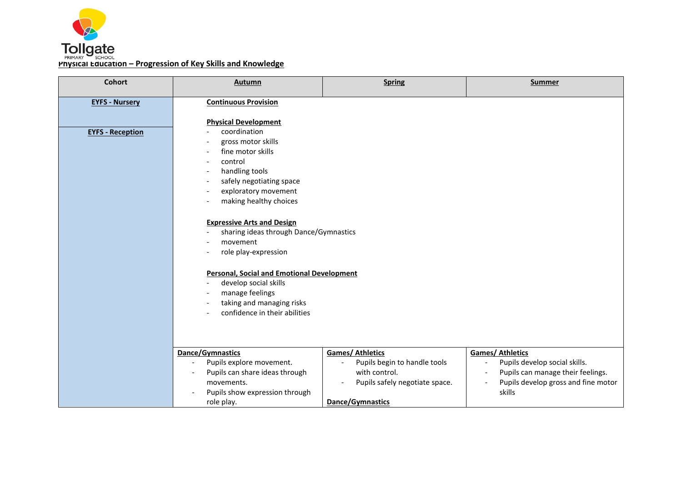

| <b>Cohort</b>           | Autumn                                                                                                                                                      | <b>Spring</b>                                                                                              | <b>Summer</b>                                                                                                                                                    |
|-------------------------|-------------------------------------------------------------------------------------------------------------------------------------------------------------|------------------------------------------------------------------------------------------------------------|------------------------------------------------------------------------------------------------------------------------------------------------------------------|
| <b>EYFS - Nursery</b>   | <b>Continuous Provision</b>                                                                                                                                 |                                                                                                            |                                                                                                                                                                  |
|                         | <b>Physical Development</b>                                                                                                                                 |                                                                                                            |                                                                                                                                                                  |
| <b>EYFS - Reception</b> | coordination<br>gross motor skills<br>fine motor skills<br>control<br>handling tools                                                                        |                                                                                                            |                                                                                                                                                                  |
|                         | safely negotiating space<br>exploratory movement<br>making healthy choices                                                                                  |                                                                                                            |                                                                                                                                                                  |
|                         | <b>Expressive Arts and Design</b><br>sharing ideas through Dance/Gymnastics<br>movement<br>role play-expression                                             |                                                                                                            |                                                                                                                                                                  |
|                         | <b>Personal, Social and Emotional Development</b><br>develop social skills<br>manage feelings<br>taking and managing risks<br>confidence in their abilities |                                                                                                            |                                                                                                                                                                  |
|                         | Dance/Gymnastics<br>Pupils explore movement.<br>Pupils can share ideas through<br>movements.<br>Pupils show expression through                              | <b>Games/ Athletics</b><br>Pupils begin to handle tools<br>with control.<br>Pupils safely negotiate space. | <b>Games/ Athletics</b><br>Pupils develop social skills.<br>Pupils can manage their feelings.<br>$\blacksquare$<br>Pupils develop gross and fine motor<br>skills |
|                         | role play.                                                                                                                                                  | Dance/Gymnastics                                                                                           |                                                                                                                                                                  |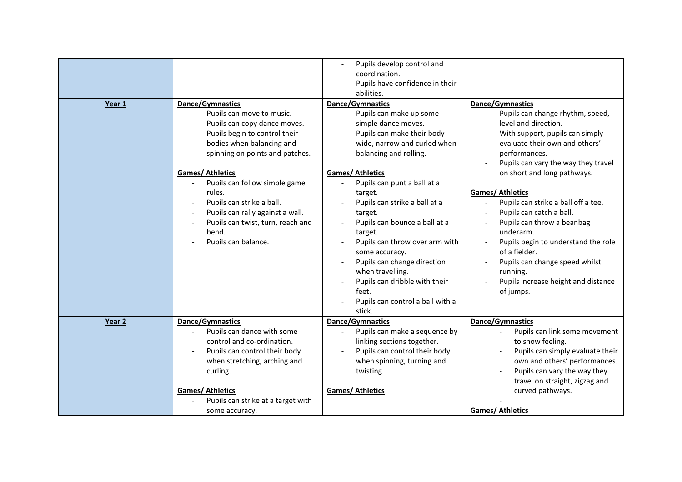| Year 1 | Dance/Gymnastics<br>Pupils can move to music.<br>Pupils can copy dance moves.<br>Pupils begin to control their<br>bodies when balancing and<br>spinning on points and patches.<br><b>Games/ Athletics</b><br>Pupils can follow simple game<br>rules.<br>Pupils can strike a ball.<br>Pupils can rally against a wall.<br>Pupils can twist, turn, reach and<br>bend.<br>Pupils can balance. | Pupils develop control and<br>coordination.<br>Pupils have confidence in their<br>abilities.<br>Dance/Gymnastics<br>Pupils can make up some<br>simple dance moves.<br>Pupils can make their body<br>wide, narrow and curled when<br>balancing and rolling.<br><b>Games/ Athletics</b><br>Pupils can punt a ball at a<br>target.<br>Pupils can strike a ball at a<br>target.<br>Pupils can bounce a ball at a<br>target.<br>Pupils can throw over arm with<br>some accuracy.<br>Pupils can change direction<br>when travelling.<br>Pupils can dribble with their<br>feet.<br>Pupils can control a ball with a<br>stick. | Dance/Gymnastics<br>Pupils can change rhythm, speed,<br>level and direction.<br>With support, pupils can simply<br>evaluate their own and others'<br>performances.<br>Pupils can vary the way they travel<br>on short and long pathways.<br><b>Games/Athletics</b><br>Pupils can strike a ball off a tee.<br>$\overline{\phantom{a}}$<br>Pupils can catch a ball.<br>Pupils can throw a beanbag<br>underarm.<br>Pupils begin to understand the role<br>of a fielder.<br>Pupils can change speed whilst<br>running.<br>Pupils increase height and distance<br>of jumps. |
|--------|--------------------------------------------------------------------------------------------------------------------------------------------------------------------------------------------------------------------------------------------------------------------------------------------------------------------------------------------------------------------------------------------|------------------------------------------------------------------------------------------------------------------------------------------------------------------------------------------------------------------------------------------------------------------------------------------------------------------------------------------------------------------------------------------------------------------------------------------------------------------------------------------------------------------------------------------------------------------------------------------------------------------------|------------------------------------------------------------------------------------------------------------------------------------------------------------------------------------------------------------------------------------------------------------------------------------------------------------------------------------------------------------------------------------------------------------------------------------------------------------------------------------------------------------------------------------------------------------------------|
| Year 2 | Dance/Gymnastics<br>Pupils can dance with some<br>control and co-ordination.<br>Pupils can control their body<br>when stretching, arching and<br>curling.<br><b>Games/Athletics</b><br>Pupils can strike at a target with                                                                                                                                                                  | Dance/Gymnastics<br>Pupils can make a sequence by<br>linking sections together.<br>Pupils can control their body<br>when spinning, turning and<br>twisting.<br><b>Games/ Athletics</b>                                                                                                                                                                                                                                                                                                                                                                                                                                 | Dance/Gymnastics<br>Pupils can link some movement<br>to show feeling.<br>Pupils can simply evaluate their<br>own and others' performances.<br>Pupils can vary the way they<br>travel on straight, zigzag and<br>curved pathways.                                                                                                                                                                                                                                                                                                                                       |
|        | some accuracy.                                                                                                                                                                                                                                                                                                                                                                             |                                                                                                                                                                                                                                                                                                                                                                                                                                                                                                                                                                                                                        | <b>Games/ Athletics</b>                                                                                                                                                                                                                                                                                                                                                                                                                                                                                                                                                |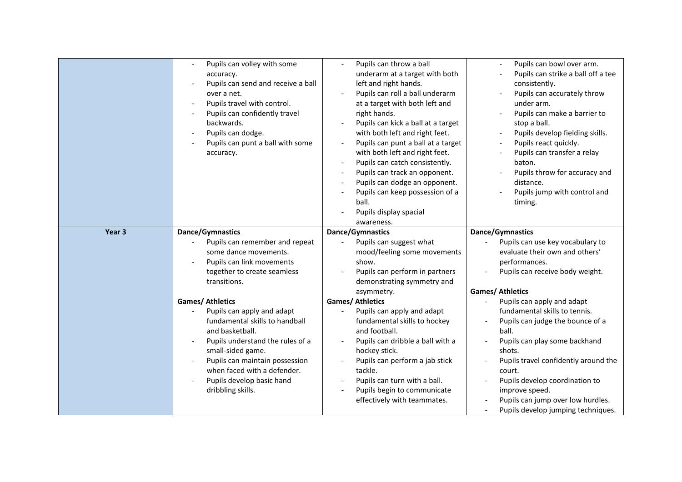|        | Pupils can volley with some<br>accuracy.<br>Pupils can send and receive a ball<br>over a net.<br>Pupils travel with control.<br>Pupils can confidently travel<br>backwards.<br>Pupils can dodge.<br>Pupils can punt a ball with some<br>accuracy.                                      | Pupils can throw a ball<br>underarm at a target with both<br>left and right hands.<br>Pupils can roll a ball underarm<br>at a target with both left and<br>right hands.<br>Pupils can kick a ball at a target<br>with both left and right feet.<br>Pupils can punt a ball at a target<br>with both left and right feet.<br>Pupils can catch consistently.<br>Pupils can track an opponent.<br>Pupils can dodge an opponent.<br>Pupils can keep possession of a<br>ball.<br>Pupils display spacial<br>awareness. | Pupils can bowl over arm.<br>Pupils can strike a ball off a tee<br>consistently.<br>Pupils can accurately throw<br>under arm.<br>Pupils can make a barrier to<br>stop a ball.<br>Pupils develop fielding skills.<br>Pupils react quickly.<br>Pupils can transfer a relay<br>baton.<br>Pupils throw for accuracy and<br>distance.<br>Pupils jump with control and<br>timing. |
|--------|----------------------------------------------------------------------------------------------------------------------------------------------------------------------------------------------------------------------------------------------------------------------------------------|-----------------------------------------------------------------------------------------------------------------------------------------------------------------------------------------------------------------------------------------------------------------------------------------------------------------------------------------------------------------------------------------------------------------------------------------------------------------------------------------------------------------|-----------------------------------------------------------------------------------------------------------------------------------------------------------------------------------------------------------------------------------------------------------------------------------------------------------------------------------------------------------------------------|
| Year 3 | Dance/Gymnastics                                                                                                                                                                                                                                                                       | Dance/Gymnastics                                                                                                                                                                                                                                                                                                                                                                                                                                                                                                | Dance/Gymnastics                                                                                                                                                                                                                                                                                                                                                            |
|        | Pupils can remember and repeat<br>some dance movements.<br>Pupils can link movements<br>together to create seamless<br>transitions.                                                                                                                                                    | Pupils can suggest what<br>mood/feeling some movements<br>show.<br>Pupils can perform in partners<br>demonstrating symmetry and<br>asymmetry.                                                                                                                                                                                                                                                                                                                                                                   | Pupils can use key vocabulary to<br>evaluate their own and others'<br>performances.<br>Pupils can receive body weight.<br><b>Games/ Athletics</b>                                                                                                                                                                                                                           |
|        | <b>Games/ Athletics</b><br>Pupils can apply and adapt<br>fundamental skills to handball<br>and basketball.<br>Pupils understand the rules of a<br>small-sided game.<br>Pupils can maintain possession<br>when faced with a defender.<br>Pupils develop basic hand<br>dribbling skills. | <b>Games/ Athletics</b><br>Pupils can apply and adapt<br>fundamental skills to hockey<br>and football.<br>Pupils can dribble a ball with a<br>hockey stick.<br>Pupils can perform a jab stick<br>tackle.<br>Pupils can turn with a ball.<br>Pupils begin to communicate<br>effectively with teammates.                                                                                                                                                                                                          | Pupils can apply and adapt<br>fundamental skills to tennis.<br>Pupils can judge the bounce of a<br>ball.<br>Pupils can play some backhand<br>shots.<br>Pupils travel confidently around the<br>court.<br>Pupils develop coordination to<br>improve speed.<br>Pupils can jump over low hurdles.<br>Pupils develop jumping techniques.<br>$\overline{\phantom{a}}$            |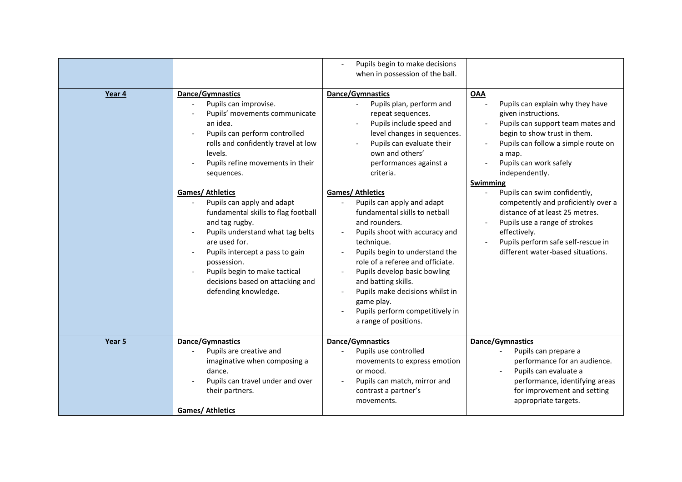|        |                                                                                                                                                                                                                                                                                                                                                                                                                                                                                                                                                   | Pupils begin to make decisions<br>when in possession of the ball.                                                                                                                                                                                                                                                                                                                                                                                                                                                                                                                                                        |                                                                                                                                                                                                                                                                                                                                                                                                                                                                                                  |
|--------|---------------------------------------------------------------------------------------------------------------------------------------------------------------------------------------------------------------------------------------------------------------------------------------------------------------------------------------------------------------------------------------------------------------------------------------------------------------------------------------------------------------------------------------------------|--------------------------------------------------------------------------------------------------------------------------------------------------------------------------------------------------------------------------------------------------------------------------------------------------------------------------------------------------------------------------------------------------------------------------------------------------------------------------------------------------------------------------------------------------------------------------------------------------------------------------|--------------------------------------------------------------------------------------------------------------------------------------------------------------------------------------------------------------------------------------------------------------------------------------------------------------------------------------------------------------------------------------------------------------------------------------------------------------------------------------------------|
| Year 4 | Dance/Gymnastics<br>Pupils can improvise.<br>Pupils' movements communicate<br>an idea.<br>Pupils can perform controlled<br>rolls and confidently travel at low<br>levels.<br>Pupils refine movements in their<br>sequences.<br><b>Games/ Athletics</b><br>Pupils can apply and adapt<br>fundamental skills to flag football<br>and tag rugby.<br>Pupils understand what tag belts<br>are used for.<br>Pupils intercept a pass to gain<br>possession.<br>Pupils begin to make tactical<br>decisions based on attacking and<br>defending knowledge. | Dance/Gymnastics<br>Pupils plan, perform and<br>repeat sequences.<br>Pupils include speed and<br>level changes in sequences.<br>Pupils can evaluate their<br>own and others'<br>performances against a<br>criteria.<br><b>Games/ Athletics</b><br>Pupils can apply and adapt<br>fundamental skills to netball<br>and rounders.<br>Pupils shoot with accuracy and<br>technique.<br>Pupils begin to understand the<br>role of a referee and officiate.<br>Pupils develop basic bowling<br>and batting skills.<br>Pupils make decisions whilst in<br>game play.<br>Pupils perform competitively in<br>a range of positions. | <b>OAA</b><br>Pupils can explain why they have<br>given instructions.<br>Pupils can support team mates and<br>begin to show trust in them.<br>Pupils can follow a simple route on<br>a map.<br>Pupils can work safely<br>independently.<br><b>Swimming</b><br>Pupils can swim confidently,<br>competently and proficiently over a<br>distance of at least 25 metres.<br>Pupils use a range of strokes<br>effectively.<br>Pupils perform safe self-rescue in<br>different water-based situations. |
| Year 5 | Dance/Gymnastics<br>Pupils are creative and<br>imaginative when composing a<br>dance.<br>Pupils can travel under and over<br>their partners.<br><b>Games/ Athletics</b>                                                                                                                                                                                                                                                                                                                                                                           | Dance/Gymnastics<br>Pupils use controlled<br>movements to express emotion<br>or mood.<br>Pupils can match, mirror and<br>contrast a partner's<br>movements.                                                                                                                                                                                                                                                                                                                                                                                                                                                              | Dance/Gymnastics<br>Pupils can prepare a<br>performance for an audience.<br>Pupils can evaluate a<br>performance, identifying areas<br>for improvement and setting<br>appropriate targets.                                                                                                                                                                                                                                                                                                       |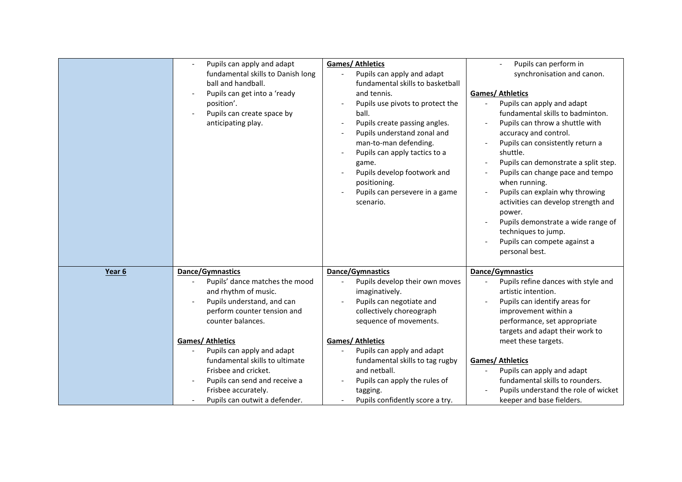|        | Pupils can apply and adapt<br>fundamental skills to Danish long<br>ball and handball.<br>Pupils can get into a 'ready<br>position'.<br>Pupils can create space by<br>anticipating play. | <b>Games/ Athletics</b><br>Pupils can apply and adapt<br>fundamental skills to basketball<br>and tennis.<br>Pupils use pivots to protect the<br>ball.<br>Pupils create passing angles.<br>Pupils understand zonal and<br>man-to-man defending.<br>Pupils can apply tactics to a<br>game.<br>Pupils develop footwork and<br>positioning.<br>Pupils can persevere in a game<br>scenario. | Pupils can perform in<br>synchronisation and canon.<br><b>Games/ Athletics</b><br>Pupils can apply and adapt<br>fundamental skills to badminton.<br>Pupils can throw a shuttle with<br>$\overline{\phantom{a}}$<br>accuracy and control.<br>Pupils can consistently return a<br>shuttle.<br>Pupils can demonstrate a split step.<br>Pupils can change pace and tempo<br>when running.<br>Pupils can explain why throwing<br>$\overline{\phantom{a}}$<br>activities can develop strength and<br>power.<br>Pupils demonstrate a wide range of<br>techniques to jump.<br>Pupils can compete against a<br>personal best. |
|--------|-----------------------------------------------------------------------------------------------------------------------------------------------------------------------------------------|----------------------------------------------------------------------------------------------------------------------------------------------------------------------------------------------------------------------------------------------------------------------------------------------------------------------------------------------------------------------------------------|----------------------------------------------------------------------------------------------------------------------------------------------------------------------------------------------------------------------------------------------------------------------------------------------------------------------------------------------------------------------------------------------------------------------------------------------------------------------------------------------------------------------------------------------------------------------------------------------------------------------|
| Year 6 | Dance/Gymnastics                                                                                                                                                                        | <b>Dance/Gymnastics</b>                                                                                                                                                                                                                                                                                                                                                                | <b>Dance/Gymnastics</b>                                                                                                                                                                                                                                                                                                                                                                                                                                                                                                                                                                                              |
|        | Pupils' dance matches the mood                                                                                                                                                          | Pupils develop their own moves                                                                                                                                                                                                                                                                                                                                                         | Pupils refine dances with style and                                                                                                                                                                                                                                                                                                                                                                                                                                                                                                                                                                                  |
|        | and rhythm of music.                                                                                                                                                                    | imaginatively.                                                                                                                                                                                                                                                                                                                                                                         | artistic intention.                                                                                                                                                                                                                                                                                                                                                                                                                                                                                                                                                                                                  |
|        | Pupils understand, and can                                                                                                                                                              | Pupils can negotiate and                                                                                                                                                                                                                                                                                                                                                               | Pupils can identify areas for                                                                                                                                                                                                                                                                                                                                                                                                                                                                                                                                                                                        |
|        | perform counter tension and                                                                                                                                                             | collectively choreograph                                                                                                                                                                                                                                                                                                                                                               | improvement within a                                                                                                                                                                                                                                                                                                                                                                                                                                                                                                                                                                                                 |
|        | counter balances.                                                                                                                                                                       | sequence of movements.                                                                                                                                                                                                                                                                                                                                                                 | performance, set appropriate                                                                                                                                                                                                                                                                                                                                                                                                                                                                                                                                                                                         |
|        |                                                                                                                                                                                         |                                                                                                                                                                                                                                                                                                                                                                                        | targets and adapt their work to                                                                                                                                                                                                                                                                                                                                                                                                                                                                                                                                                                                      |
|        | <b>Games/Athletics</b>                                                                                                                                                                  | <b>Games/Athletics</b>                                                                                                                                                                                                                                                                                                                                                                 | meet these targets.                                                                                                                                                                                                                                                                                                                                                                                                                                                                                                                                                                                                  |
|        | Pupils can apply and adapt                                                                                                                                                              | Pupils can apply and adapt                                                                                                                                                                                                                                                                                                                                                             |                                                                                                                                                                                                                                                                                                                                                                                                                                                                                                                                                                                                                      |
|        | fundamental skills to ultimate                                                                                                                                                          | fundamental skills to tag rugby                                                                                                                                                                                                                                                                                                                                                        | <b>Games/ Athletics</b>                                                                                                                                                                                                                                                                                                                                                                                                                                                                                                                                                                                              |
|        | Frisbee and cricket.                                                                                                                                                                    | and netball.                                                                                                                                                                                                                                                                                                                                                                           | Pupils can apply and adapt                                                                                                                                                                                                                                                                                                                                                                                                                                                                                                                                                                                           |
|        | Pupils can send and receive a                                                                                                                                                           | Pupils can apply the rules of                                                                                                                                                                                                                                                                                                                                                          | fundamental skills to rounders.                                                                                                                                                                                                                                                                                                                                                                                                                                                                                                                                                                                      |
|        | Frisbee accurately.                                                                                                                                                                     | tagging.                                                                                                                                                                                                                                                                                                                                                                               | Pupils understand the role of wicket                                                                                                                                                                                                                                                                                                                                                                                                                                                                                                                                                                                 |
|        | Pupils can outwit a defender.                                                                                                                                                           | Pupils confidently score a try.                                                                                                                                                                                                                                                                                                                                                        | keeper and base fielders.                                                                                                                                                                                                                                                                                                                                                                                                                                                                                                                                                                                            |